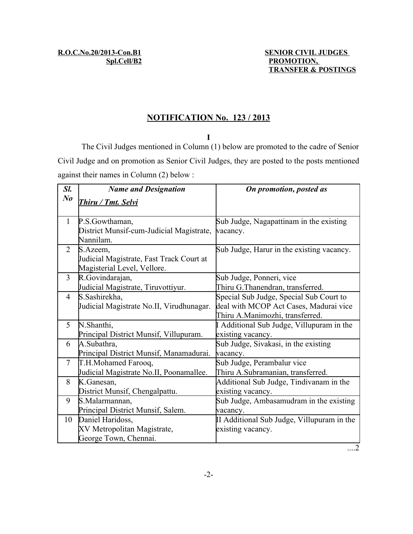### **NOTIFICATION No. 123 / 2013**

**I**

The Civil Judges mentioned in Column (1) below are promoted to the cadre of Senior Civil Judge and on promotion as Senior Civil Judges, they are posted to the posts mentioned against their names in Column (2) below :

| Sl.            | <b>Name and Designation</b>                    | On promotion, posted as                    |
|----------------|------------------------------------------------|--------------------------------------------|
| $N_{0}$        | Thiru / Tmt. Selvi                             |                                            |
|                |                                                |                                            |
| $\mathbf{1}$   | P.S.Gowthaman,                                 | Sub Judge, Nagapattinam in the existing    |
|                | District Munsif-cum-Judicial Magistrate,       | vacancy.                                   |
|                | Nannilam.                                      |                                            |
| 2              | S.Azeem,                                       | Sub Judge, Harur in the existing vacancy.  |
|                | Judicial Magistrate, Fast Track Court at       |                                            |
| 3              | Magisterial Level, Vellore.<br>R.Govindarajan, | Sub Judge, Ponneri, vice                   |
|                | Judicial Magistrate, Tiruvottiyur.             | Thiru G.Thanendran, transferred.           |
| $\overline{4}$ | S.Sashirekha,                                  | Special Sub Judge, Special Sub Court to    |
|                | Judicial Magistrate No.II, Virudhunagar.       | deal with MCOP Act Cases, Madurai vice     |
|                |                                                | Thiru A.Manimozhi, transferred.            |
| 5              | N.Shanthi,                                     | Additional Sub Judge, Villupuram in the    |
|                | Principal District Munsif, Villupuram.         | existing vacancy.                          |
| 6              | A.Subathra,                                    | Sub Judge, Sivakasi, in the existing       |
|                | Principal District Munsif, Manamadurai.        | vacancy.                                   |
| $\tau$         | T.H.Mohamed Farooq,                            | Sub Judge, Perambalur vice                 |
|                | Judicial Magistrate No.II, Poonamallee.        | Thiru A.Subramanian, transferred.          |
| 8              | K.Ganesan,                                     | Additional Sub Judge, Tindivanam in the    |
|                | District Munsif, Chengalpattu.                 | existing vacancy.                          |
| 9              | S.Malarmannan,                                 | Sub Judge, Ambasamudram in the existing    |
|                | Principal District Munsif, Salem.              | vacancy.                                   |
| 10             | Daniel Haridoss,                               | II Additional Sub Judge, Villupuram in the |
|                | XV Metropolitan Magistrate,                    | existing vacancy.                          |
|                | George Town, Chennai.                          |                                            |
|                |                                                |                                            |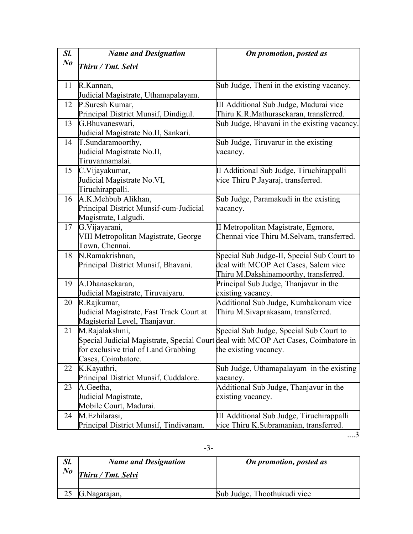| Sl.     | <b>Name and Designation</b>                                | On promotion, posted as                                                            |
|---------|------------------------------------------------------------|------------------------------------------------------------------------------------|
| $N_{0}$ | Thiru / Tmt. Selvi                                         |                                                                                    |
|         |                                                            |                                                                                    |
| 11      | R.Kannan,                                                  | Sub Judge, Theni in the existing vacancy.                                          |
|         | Judicial Magistrate, Uthamapalayam.                        |                                                                                    |
| 12      | P.Suresh Kumar,                                            | III Additional Sub Judge, Madurai vice                                             |
|         | Principal District Munsif, Dindigul.                       | Thiru K.R.Mathurasekaran, transferred.                                             |
| 13      | G.Bhuvaneswari,                                            | Sub Judge, Bhavani in the existing vacancy.                                        |
|         | Judicial Magistrate No.II, Sankari.                        |                                                                                    |
| 14      | T.Sundaramoorthy,                                          | Sub Judge, Tiruvarur in the existing                                               |
|         | Judicial Magistrate No.II,                                 | vacancy.                                                                           |
|         | Tiruvannamalai.                                            |                                                                                    |
| 15      | C.Vijayakumar,                                             | II Additional Sub Judge, Tiruchirappalli                                           |
|         | Judicial Magistrate No.VI,                                 | vice Thiru P.Jayaraj, transferred.                                                 |
|         | Tiruchirappalli.                                           |                                                                                    |
| 16      | A.K.Mehbub Alikhan,                                        | Sub Judge, Paramakudi in the existing                                              |
|         | Principal District Munsif-cum-Judicial                     | vacancy.                                                                           |
|         | Magistrate, Lalgudi.                                       |                                                                                    |
| 17      | G. Vijayarani,                                             | II Metropolitan Magistrate, Egmore,                                                |
|         | VIII Metropolitan Magistrate, George                       | Chennai vice Thiru M.Selvam, transferred.                                          |
|         | Town, Chennai.                                             |                                                                                    |
| 18      | N.Ramakrishnan,                                            | Special Sub Judge-II, Special Sub Court to                                         |
|         | Principal District Munsif, Bhavani.                        | deal with MCOP Act Cases, Salem vice                                               |
|         |                                                            | Thiru M.Dakshinamoorthy, transferred.                                              |
| 19      | A.Dhanasekaran,                                            | Principal Sub Judge, Thanjavur in the                                              |
|         | Judicial Magistrate, Tiruvaiyaru.                          | existing vacancy.                                                                  |
| 20      | R.Rajkumar,                                                | Additional Sub Judge, Kumbakonam vice                                              |
|         | Judicial Magistrate, Fast Track Court at                   | Thiru M.Sivaprakasam, transferred.                                                 |
|         | Magisterial Level, Thanjavur.                              |                                                                                    |
| 21      | M.Rajalakshmi,                                             | Special Sub Judge, Special Sub Court to                                            |
|         |                                                            | Special Judicial Magistrate, Special Court deal with MCOP Act Cases, Coimbatore in |
|         | for exclusive trial of Land Grabbing<br>Cases, Coimbatore. | the existing vacancy.                                                              |
| 22      | K.Kayathri,                                                | Sub Judge, Uthamapalayam in the existing                                           |
|         | Principal District Munsif, Cuddalore.                      | vacancy.                                                                           |
| 23      | A.Geetha,                                                  | Additional Sub Judge, Thanjavur in the                                             |
|         | Judicial Magistrate,                                       | existing vacancy.                                                                  |
|         | Mobile Court, Madurai.                                     |                                                                                    |
| 24      | M.Ezhilarasi,                                              | III Additional Sub Judge, Tiruchirappalli                                          |
|         | Principal District Munsif, Tindivanam.                     | vice Thiru K.Subramanian, transferred.                                             |

....3

| Sl.<br>$N_{0}$ | <b>Name and Designation</b><br>Thiru / Tmt. Selvi | <b>On promotion, posted as</b> |
|----------------|---------------------------------------------------|--------------------------------|
|                | G.Nagarajan,                                      | Sub Judge, Thoothukudi vice    |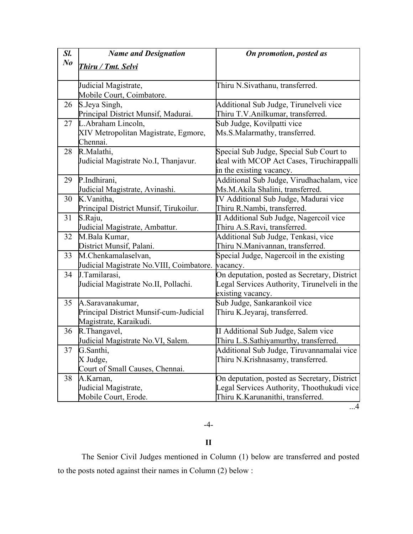| Sl.       | <b>Name and Designation</b>               | On promotion, posted as                      |
|-----------|-------------------------------------------|----------------------------------------------|
| $\bm{No}$ | <u>Thiru / Tmt. Selvi</u>                 |                                              |
|           |                                           |                                              |
|           | Judicial Magistrate,                      | Thiru N.Sivathanu, transferred.              |
|           | Mobile Court, Coimbatore.                 |                                              |
| 26        | S.Jeya Singh,                             | Additional Sub Judge, Tirunelveli vice       |
|           | Principal District Munsif, Madurai.       | Thiru T.V.Anilkumar, transferred.            |
| 27        | L.Abraham Lincoln,                        | Sub Judge, Kovilpatti vice                   |
|           | XIV Metropolitan Magistrate, Egmore,      | Ms.S.Malarmathy, transferred.                |
|           | Chennai.                                  |                                              |
| 28        | R.Malathi,                                | Special Sub Judge, Special Sub Court to      |
|           | Judicial Magistrate No.I, Thanjavur.      | deal with MCOP Act Cases, Tiruchirappalli    |
|           |                                           | in the existing vacancy.                     |
| 29        | P.Indhirani,                              | Additional Sub Judge, Virudhachalam, vice    |
|           | Judicial Magistrate, Avinashi.            | Ms.M.Akila Shalini, transferred.             |
| 30        | K.Vanitha,                                | IV Additional Sub Judge, Madurai vice        |
|           | Principal District Munsif, Tirukoilur.    | Thiru R.Nambi, transferred.                  |
| 31        | S.Raju,                                   | II Additional Sub Judge, Nagercoil vice      |
|           | Judicial Magistrate, Ambattur.            | Thiru A.S.Ravi, transferred.                 |
| 32        | M.Bala Kumar,                             | Additional Sub Judge, Tenkasi, vice          |
|           | District Munsif, Palani.                  | Thiru N.Manivannan, transferred.             |
| 33        | M.Chenkamalaselvan,                       | Special Judge, Nagercoil in the existing     |
|           | Judicial Magistrate No. VIII, Coimbatore. | vacancy.                                     |
| 34        | J.Tamilarasi,                             | On deputation, posted as Secretary, District |
|           | Judicial Magistrate No.II, Pollachi.      | Legal Services Authority, Tirunelveli in the |
|           |                                           | existing vacancy.                            |
| 35        | A.Saravanakumar,                          | Sub Judge, Sankarankoil vice                 |
|           | Principal District Munsif-cum-Judicial    | Thiru K.Jeyaraj, transferred.                |
|           | Magistrate, Karaikudi.                    |                                              |
| 36        | R.Thangavel,                              | II Additional Sub Judge, Salem vice          |
|           | Judicial Magistrate No.VI, Salem.         | Thiru L.S.Sathiyamurthy, transferred.        |
| 37        | G.Santhi,                                 | Additional Sub Judge, Tiruvannamalai vice    |
|           | X Judge,                                  | Thiru N.Krishnasamy, transferred.            |
|           | Court of Small Causes, Chennai.           |                                              |
| 38        | A.Karnan,                                 | On deputation, posted as Secretary, District |
|           | Judicial Magistrate,                      | Legal Services Authority, Thoothukudi vice   |
|           | Mobile Court, Erode.                      | Thiru K.Karunanithi, transferred.            |

...4

## -4-

#### **II**

The Senior Civil Judges mentioned in Column (1) below are transferred and posted to the posts noted against their names in Column (2) below :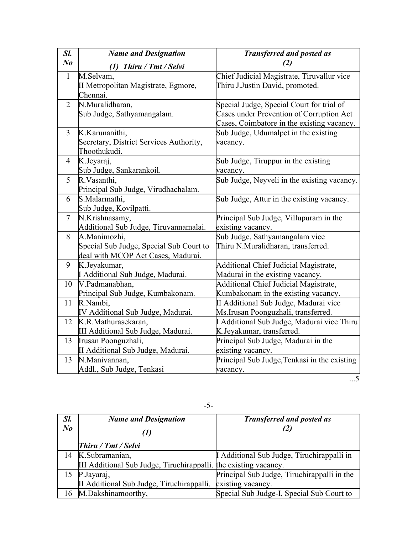| Sl.            | <b>Name and Designation</b>                      | <b>Transferred and posted as</b>                                          |
|----------------|--------------------------------------------------|---------------------------------------------------------------------------|
| N <sub>o</sub> | <b>Thiru / Tmt / Selvi</b><br>(1)                | (2)                                                                       |
| $\mathbf{1}$   | M.Selvam,                                        | Chief Judicial Magistrate, Tiruvallur vice                                |
|                | II Metropolitan Magistrate, Egmore,              | Thiru J.Justin David, promoted.                                           |
|                | Chennai.                                         |                                                                           |
| $\overline{2}$ | N.Muralidharan,                                  | Special Judge, Special Court for trial of                                 |
|                | Sub Judge, Sathyamangalam.                       | Cases under Prevention of Corruption Act                                  |
|                |                                                  | Cases, Coimbatore in the existing vacancy.                                |
| $\overline{3}$ | K.Karunanithi,                                   | Sub Judge, Udumalpet in the existing                                      |
|                | Secretary, District Services Authority,          | vacancy.                                                                  |
|                | Thoothukudi.                                     |                                                                           |
| $\overline{4}$ | K.Jeyaraj,                                       | Sub Judge, Tiruppur in the existing                                       |
|                | Sub Judge, Sankarankoil.                         | vacancy.                                                                  |
| 5              | R.Vasanthi,                                      | Sub Judge, Neyveli in the existing vacancy.                               |
|                | Principal Sub Judge, Virudhachalam.              |                                                                           |
| 6              | S.Malarmathi,                                    | Sub Judge, Attur in the existing vacancy.                                 |
|                | Sub Judge, Kovilpatti.                           |                                                                           |
| $\overline{7}$ | N.Krishnasamy,                                   | Principal Sub Judge, Villupuram in the                                    |
|                | Additional Sub Judge, Tiruvannamalai.            | existing vacancy.                                                         |
| 8              | A.Manimozhi,                                     | Sub Judge, Sathyamangalam vice                                            |
|                | Special Sub Judge, Special Sub Court to          | Thiru N.Muralidharan, transferred.                                        |
| 9              | deal with MCOP Act Cases, Madurai.               |                                                                           |
|                | K.Jeyakumar,<br>I Additional Sub Judge, Madurai. | Additional Chief Judicial Magistrate,                                     |
| 10             | V.Padmanabhan,                                   | Madurai in the existing vacancy.<br>Additional Chief Judicial Magistrate, |
|                | Principal Sub Judge, Kumbakonam.                 | Kumbakonam in the existing vacancy.                                       |
| 11             | R.Nambi,                                         | II Additional Sub Judge, Madurai vice                                     |
|                | IV Additional Sub Judge, Madurai.                | Ms. Irusan Poonguzhali, transferred.                                      |
| 12             | K.R.Mathurasekaran,                              | I Additional Sub Judge, Madurai vice Thiru                                |
|                | III Additional Sub Judge, Madurai.               | K.Jeyakumar, transferred.                                                 |
| 13             | Irusan Poonguzhali,                              | Principal Sub Judge, Madurai in the                                       |
|                | II Additional Sub Judge, Madurai.                | existing vacancy.                                                         |
| 13             | N.Manivannan,                                    | Principal Sub Judge, Tenkasi in the existing                              |
|                | Addl., Sub Judge, Tenkasi                        | vacancy.                                                                  |

...5

| Sl.     | <b>Name and Designation</b>                                      | <b>Transferred and posted as</b>            |
|---------|------------------------------------------------------------------|---------------------------------------------|
| $N_{0}$ |                                                                  |                                             |
|         | <b>Thiru / Tmt / Selvi</b>                                       |                                             |
| 14      | K.Subramanian,                                                   | I Additional Sub Judge, Tiruchirappalli in  |
|         | III Additional Sub Judge, Tiruchirappalli. the existing vacancy. |                                             |
|         | P.Jayaraj,                                                       | Principal Sub Judge, Tiruchirappalli in the |
|         | II Additional Sub Judge, Tiruchirappalli.                        | existing vacancy.                           |
| 16      | M.Dakshinamoorthy,                                               | Special Sub Judge-I, Special Sub Court to   |

-5-